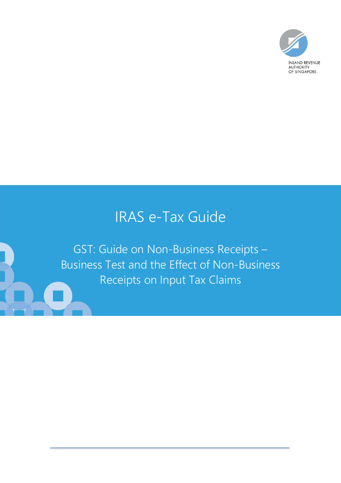

# IRAS e-Tax Guide

GST: Guide on Non-Business Receipts – Business Test and the Effect of Non-Business Receipts on Input Tax Claims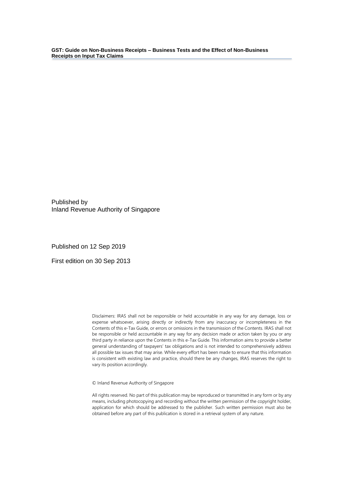Published by Inland Revenue Authority of Singapore

Published on 12 Sep 2019

First edition on 30 Sep 2013

Disclaimers: IRAS shall not be responsible or held accountable in any way for any damage, loss or expense whatsoever, arising directly or indirectly from any inaccuracy or incompleteness in the Contents of this e-Tax Guide, or errors or omissions in the transmission of the Contents. IRAS shall not be responsible or held accountable in any way for any decision made or action taken by you or any third party in reliance upon the Contents in this e-Tax Guide. This information aims to provide a better general understanding of taxpayers' tax obligations and is not intended to comprehensively address all possible tax issues that may arise. While every effort has been made to ensure that this information is consistent with existing law and practice, should there be any changes, IRAS reserves the right to vary its position accordingly.

© Inland Revenue Authority of Singapore

All rights reserved. No part of this publication may be reproduced or transmitted in any form or by any means, including photocopying and recording without the written permission of the copyright holder, application for which should be addressed to the publisher. Such written permission must also be obtained before any part of this publication is stored in a retrieval system of any nature.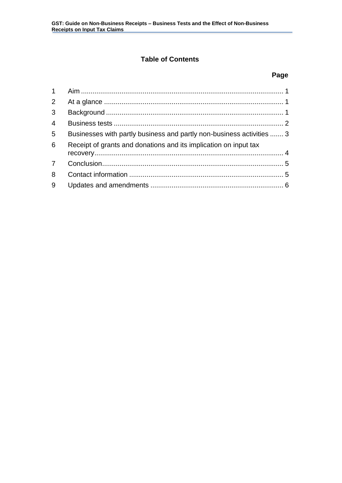# **Table of Contents**

# **Page**

| $\overline{3}$ |                                                                       |  |
|----------------|-----------------------------------------------------------------------|--|
| $\overline{4}$ |                                                                       |  |
| 5              | Businesses with partly business and partly non-business activities  3 |  |
| 6              | Receipt of grants and donations and its implication on input tax      |  |
|                |                                                                       |  |
| 8              |                                                                       |  |
| 9              |                                                                       |  |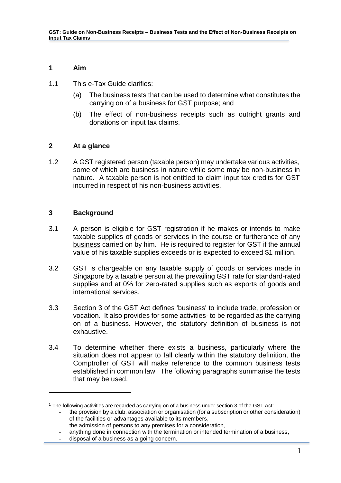# <span id="page-3-0"></span>**1 Aim**

- 1.1 This e-Tax Guide clarifies:
	- (a) The business tests that can be used to determine what constitutes the carrying on of a business for GST purpose; and
	- (b) The effect of non-business receipts such as outright grants and donations on input tax claims.

# <span id="page-3-1"></span>**2 At a glance**

1.2 A GST registered person (taxable person) may undertake various activities, some of which are business in nature while some may be non-business in nature. A taxable person is not entitled to claim input tax credits for GST incurred in respect of his non-business activities.

# <span id="page-3-2"></span>**3 Background**

1

- 3.1 A person is eligible for GST registration if he makes or intends to make taxable supplies of goods or services in the course or furtherance of any business carried on by him. He is required to register for GST if the annual value of his taxable supplies exceeds or is expected to exceed \$1 million.
- 3.2 GST is chargeable on any taxable supply of goods or services made in Singapore by a taxable person at the prevailing GST rate for standard-rated supplies and at 0% for zero-rated supplies such as exports of goods and international services.
- 3.3 Section 3 of the GST Act defines 'business' to include trade, profession or vocation. It also provides for some activities<sup>1</sup> to be regarded as the carrying on of a business. However, the statutory definition of business is not exhaustive.
- 3.4 To determine whether there exists a business, particularly where the situation does not appear to fall clearly within the statutory definition, the Comptroller of GST will make reference to the common business tests established in common law. The following paragraphs summarise the tests that may be used.

<sup>1</sup> The following activities are regarded as carrying on of a business under section 3 of the GST Act:

the provision by a club, association or organisation (for a subscription or other consideration) of the facilities or advantages available to its members,

<sup>-</sup> the admission of persons to any premises for a consideration,

anything done in connection with the termination or intended termination of a business,

disposal of a business as a going concern.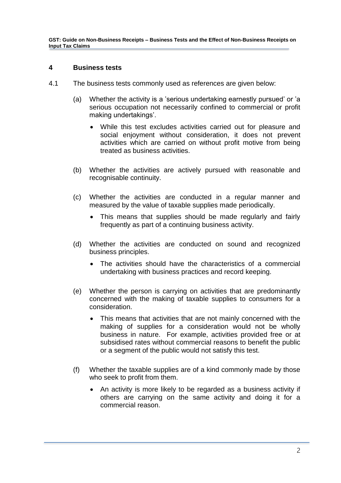#### <span id="page-4-0"></span>**4 Business tests**

- 4.1 The business tests commonly used as references are given below:
	- (a) Whether the activity is a 'serious undertaking earnestly pursued' or 'a serious occupation not necessarily confined to commercial or profit making undertakings'.
		- While this test excludes activities carried out for pleasure and social enjoyment without consideration, it does not prevent activities which are carried on without profit motive from being treated as business activities.
	- (b) Whether the activities are actively pursued with reasonable and recognisable continuity.
	- (c) Whether the activities are conducted in a regular manner and measured by the value of taxable supplies made periodically.
		- This means that supplies should be made regularly and fairly frequently as part of a continuing business activity.
	- (d) Whether the activities are conducted on sound and recognized business principles.
		- The activities should have the characteristics of a commercial undertaking with business practices and record keeping.
	- (e) Whether the person is carrying on activities that are predominantly concerned with the making of taxable supplies to consumers for a consideration.
		- This means that activities that are not mainly concerned with the making of supplies for a consideration would not be wholly business in nature. For example, activities provided free or at subsidised rates without commercial reasons to benefit the public or a segment of the public would not satisfy this test.
	- (f) Whether the taxable supplies are of a kind commonly made by those who seek to profit from them.
		- An activity is more likely to be regarded as a business activity if others are carrying on the same activity and doing it for a commercial reason.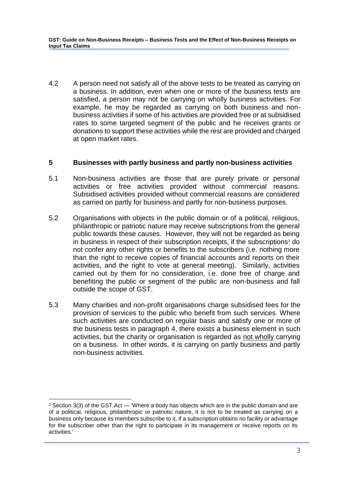4.2 A person need not satisfy all of the above tests to be treated as carrying on a business. In addition, even when one or more of the business tests are satisfied, a person may not be carrying on wholly business activities. For example, he may be regarded as carrying on both business and nonbusiness activities if some of his activities are provided free or at subsidised rates to some targeted segment of the public and he receives grants or donations to support these activities while the rest are provided and charged at open market rates.

# <span id="page-5-0"></span>**5 Businesses with partly business and partly non-business activities**

- 5.1 Non-business activities are those that are purely private or personal activities or free activities provided without commercial reasons. Subsidised activities provided without commercial reasons are considered as carried on partly for business and partly for non-business purposes.
- 5.2 Organisations with objects in the public domain or of a political, religious, philanthropic or patriotic nature may receive subscriptions from the general public towards these causes. However, they will not be regarded as being in business in respect of their subscription receipts, if the subscriptions<sup>2</sup> do not confer any other rights or benefits to the subscribers (i.e. nothing more than the right to receive copies of financial accounts and reports on their activities, and the right to vote at general meeting). Similarly, activities carried out by them for no consideration, i.e. done free of charge and benefiting the public or segment of the public are non-business and fall outside the scope of GST.
- 5.3 Many charities and non-profit organisations charge subsidised fees for the provision of services to the public who benefit from such services. Where such activities are conducted on regular basis and satisfy one or more of the business tests in paragraph 4, there exists a business element in such activities, but the charity or organisation is regarded as not wholly carrying on a business. In other words, it is carrying on partly business and partly non-business activities.

1

 $2$  Section 3(3) of the GST Act — 'Where a body has objects which are in the public domain and are of a political, religious, philanthropic or patriotic nature, it is not to be treated as carrying on a business only because its members subscribe to it, if a subscription obtains no facility or advantage for the subscriber other than the right to participate in its management or receive reports on its activities.'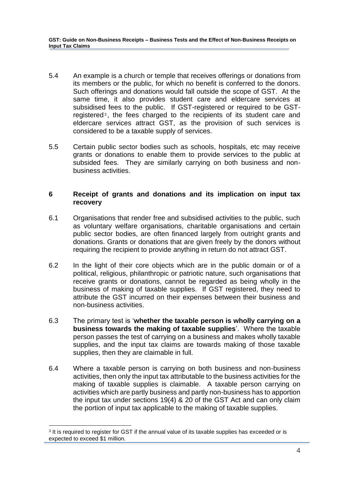- 5.4 An example is a church or temple that receives offerings or donations from its members or the public, for which no benefit is conferred to the donors. Such offerings and donations would fall outside the scope of GST. At the same time, it also provides student care and eldercare services at subsidised fees to the public. If GST-registered or required to be GSTregistered<sup>3</sup>, the fees charged to the recipients of its student care and eldercare services attract GST, as the provision of such services is considered to be a taxable supply of services.
- 5.5 Certain public sector bodies such as schools, hospitals, etc may receive grants or donations to enable them to provide services to the public at subsided fees. They are similarly carrying on both business and nonbusiness activities.

# <span id="page-6-0"></span>**6 Receipt of grants and donations and its implication on input tax recovery**

- 6.1 Organisations that render free and subsidised activities to the public, such as voluntary welfare organisations, charitable organisations and certain public sector bodies, are often financed largely from outright grants and donations. Grants or donations that are given freely by the donors without requiring the recipient to provide anything in return do not attract GST.
- 6.2 In the light of their core objects which are in the public domain or of a political, religious, philanthropic or patriotic nature, such organisations that receive grants or donations, cannot be regarded as being wholly in the business of making of taxable supplies. If GST registered, they need to attribute the GST incurred on their expenses between their business and non-business activities.
- 6.3 The primary test is '**whether the taxable person is wholly carrying on a business towards the making of taxable supplies**'. Where the taxable person passes the test of carrying on a business and makes wholly taxable supplies, and the input tax claims are towards making of those taxable supplies, then they are claimable in full.
- 6.4 Where a taxable person is carrying on both business and non-business activities, then only the input tax attributable to the business activities for the making of taxable supplies is claimable. A taxable person carrying on activities which are partly business and partly non-business has to apportion the input tax under sections 19(4) & 20 of the GST Act and can only claim the portion of input tax applicable to the making of taxable supplies.

1

<sup>&</sup>lt;sup>3</sup> It is required to register for GST if the annual value of its taxable supplies has exceeded or is expected to exceed \$1 million.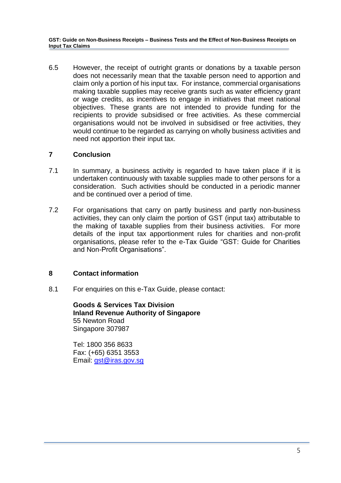6.5 However, the receipt of outright grants or donations by a taxable person does not necessarily mean that the taxable person need to apportion and claim only a portion of his input tax. For instance, commercial organisations making taxable supplies may receive grants such as water efficiency grant or wage credits, as incentives to engage in initiatives that meet national objectives. These grants are not intended to provide funding for the recipients to provide subsidised or free activities. As these commercial organisations would not be involved in subsidised or free activities, they would continue to be regarded as carrying on wholly business activities and need not apportion their input tax.

# <span id="page-7-0"></span>**7 Conclusion**

- 7.1 In summary, a business activity is regarded to have taken place if it is undertaken continuously with taxable supplies made to other persons for a consideration. Such activities should be conducted in a periodic manner and be continued over a period of time.
- 7.2 For organisations that carry on partly business and partly non-business activities, they can only claim the portion of GST (input tax) attributable to the making of taxable supplies from their business activities. For more details of the input tax apportionment rules for charities and non-profit organisations, please refer to the e-Tax Guide "GST: Guide for Charities and Non-Profit Organisations".

# <span id="page-7-1"></span>**8 Contact information**

8.1 For enquiries on this e-Tax Guide, please contact:

**Goods & Services Tax Division Inland Revenue Authority of Singapore**  55 Newton Road Singapore 307987

Tel: 1800 356 8633 Fax: (+65) 6351 3553 Email: [gst@iras.gov.sg](mailto:gst@iras.gov.sg)